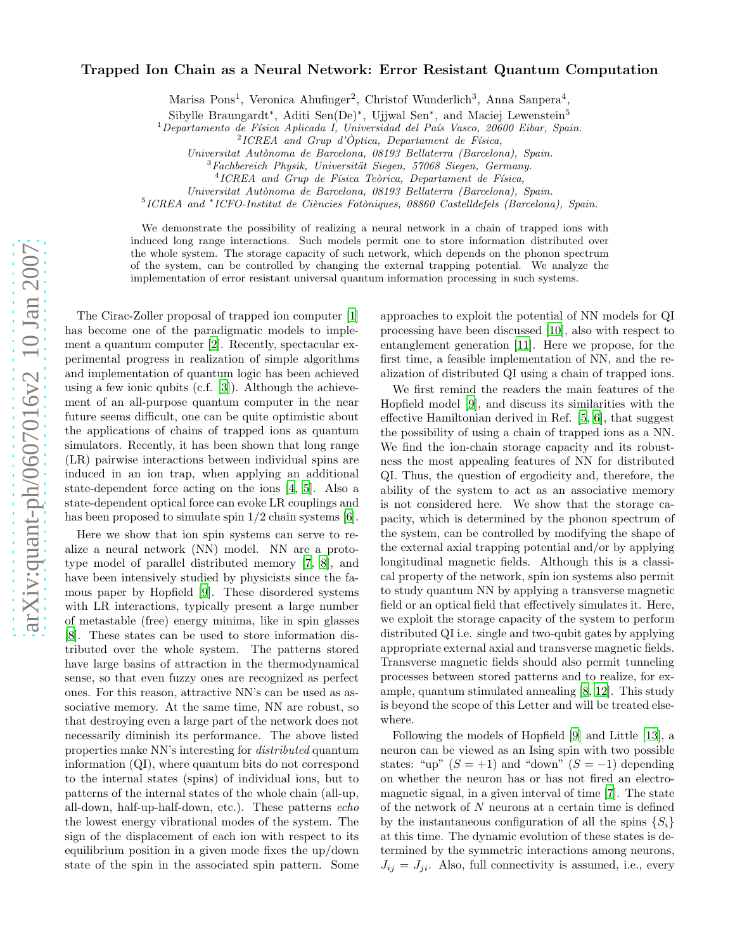## arXiv:quant-ph/0607016v2 10 Jan 2007 [arXiv:quant-ph/0607016v2 10 Jan 2007](http://arxiv.org/abs/quant-ph/0607016v2)

## Trapped Ion Chain as a Neural Network: Error Resistant Quantum Computation

Marisa Pons<sup>1</sup>, Veronica Ahufinger<sup>2</sup>, Christof Wunderlich<sup>3</sup>, Anna Sanpera<sup>4</sup>,

Sibylle Braungardt<sup>\*</sup>, Aditi Sen(De)<sup>\*</sup>, Ujjwal Sen<sup>\*</sup>, and Maciej Lewenstein<sup>5</sup>

 $1$ Departamento de Física Aplicada I, Universidad del País Vasco, 20600 Eibar, Spain.

 ${}^{2}ICREA$  and Grup d'Òptica, Departament de Física, Universitat Autònoma de Barcelona, 08193 Bellaterra (Barcelona), Spain.

 $B^3$ Fachbereich Physik, Universität Siegen, 57068 Siegen, Germany.

 ${}^{4}$ ICREA and Grup de Física Teòrica, Departament de Física,

Universitat Autònoma de Barcelona, 08193 Bellaterra (Barcelona), Spain.

 $^{5}$ ICREA and  $^{*}$ ICFO-Institut de Ciències Fotòniques, 08860 Castelldefels (Barcelona), Spain.

We demonstrate the possibility of realizing a neural network in a chain of trapped ions with induced long range interactions. Such models permit one to store information distributed over the whole system. The storage capacity of such network, which depends on the phonon spectrum of the system, can be controlled by changing the external trapping potential. We analyze the implementation of error resistant universal quantum information processing in such systems.

The Cirac-Zoller proposal of trapped ion computer [\[1](#page-3-0)] has become one of the paradigmatic models to implement a quantum computer [\[2\]](#page-3-1). Recently, spectacular experimental progress in realization of simple algorithms and implementation of quantum logic has been achieved using a few ionic qubits (c.f. [\[3](#page-3-2)]). Although the achievement of an all-purpose quantum computer in the near future seems difficult, one can be quite optimistic about the applications of chains of trapped ions as quantum simulators. Recently, it has been shown that long range (LR) pairwise interactions between individual spins are induced in an ion trap, when applying an additional state-dependent force acting on the ions [\[4,](#page-3-3) [5\]](#page-3-4). Also a state-dependent optical force can evoke LR couplings and has been proposed to simulate spin  $1/2$  chain systems [\[6\]](#page-3-5).

Here we show that ion spin systems can serve to realize a neural network (NN) model. NN are a prototype model of parallel distributed memory [\[7](#page-3-6), [8](#page-3-7)], and have been intensively studied by physicists since the famous paper by Hopfield [\[9](#page-3-8)]. These disordered systems with LR interactions, typically present a large number of metastable (free) energy minima, like in spin glasses [\[8\]](#page-3-7). These states can be used to store information distributed over the whole system. The patterns stored have large basins of attraction in the thermodynamical sense, so that even fuzzy ones are recognized as perfect ones. For this reason, attractive NN's can be used as associative memory. At the same time, NN are robust, so that destroying even a large part of the network does not necessarily diminish its performance. The above listed properties make NN's interesting for distributed quantum information (QI), where quantum bits do not correspond to the internal states (spins) of individual ions, but to patterns of the internal states of the whole chain (all-up, all-down, half-up-half-down, etc.). These patterns echo the lowest energy vibrational modes of the system. The sign of the displacement of each ion with respect to its equilibrium position in a given mode fixes the up/down state of the spin in the associated spin pattern. Some

approaches to exploit the potential of NN models for QI processing have been discussed [\[10\]](#page-3-9), also with respect to entanglement generation [\[11](#page-3-10)]. Here we propose, for the first time, a feasible implementation of NN, and the realization of distributed QI using a chain of trapped ions.

We first remind the readers the main features of the Hopfield model [\[9](#page-3-8)], and discuss its similarities with the effective Hamiltonian derived in Ref. [\[5,](#page-3-4) [6](#page-3-5)], that suggest the possibility of using a chain of trapped ions as a NN. We find the ion-chain storage capacity and its robustness the most appealing features of NN for distributed QI. Thus, the question of ergodicity and, therefore, the ability of the system to act as an associative memory is not considered here. We show that the storage capacity, which is determined by the phonon spectrum of the system, can be controlled by modifying the shape of the external axial trapping potential and/or by applying longitudinal magnetic fields. Although this is a classical property of the network, spin ion systems also permit to study quantum NN by applying a transverse magnetic field or an optical field that effectively simulates it. Here, we exploit the storage capacity of the system to perform distributed QI i.e. single and two-qubit gates by applying appropriate external axial and transverse magnetic fields. Transverse magnetic fields should also permit tunneling processes between stored patterns and to realize, for example, quantum stimulated annealing [\[8,](#page-3-7) [12](#page-3-11)]. This study is beyond the scope of this Letter and will be treated elsewhere.

Following the models of Hopfield [\[9](#page-3-8)] and Little [\[13](#page-3-12)], a neuron can be viewed as an Ising spin with two possible states: "up"  $(S = +1)$  and "down"  $(S = -1)$  depending on whether the neuron has or has not fired an electromagnetic signal, in a given interval of time [\[7](#page-3-6)]. The state of the network of N neurons at a certain time is defined by the instantaneous configuration of all the spins  $\{S_i\}$ at this time. The dynamic evolution of these states is determined by the symmetric interactions among neurons,  $J_{ij} = J_{ji}$ . Also, full connectivity is assumed, i.e., every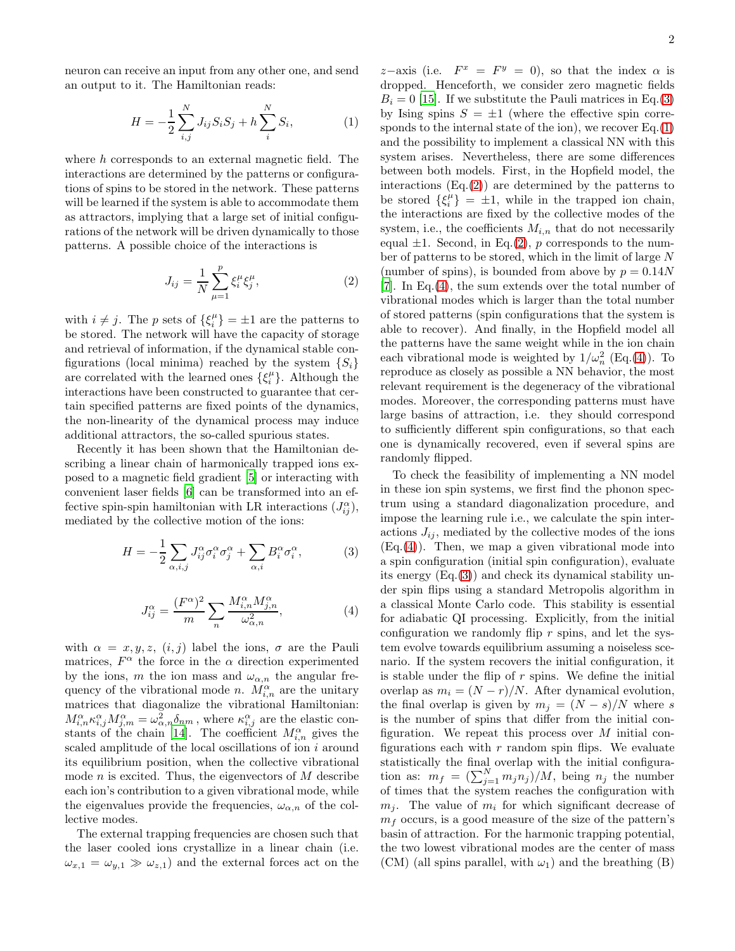neuron can receive an input from any other one, and send an output to it. The Hamiltonian reads:

<span id="page-1-1"></span>
$$
H = -\frac{1}{2} \sum_{i,j}^{N} J_{ij} S_i S_j + h \sum_{i}^{N} S_i,
$$
 (1)

where h corresponds to an external magnetic field. The interactions are determined by the patterns or configurations of spins to be stored in the network. These patterns will be learned if the system is able to accommodate them as attractors, implying that a large set of initial configurations of the network will be driven dynamically to those patterns. A possible choice of the interactions is

<span id="page-1-2"></span>
$$
J_{ij} = \frac{1}{N} \sum_{\mu=1}^{p} \xi_i^{\mu} \xi_j^{\mu},
$$
 (2)

with  $i \neq j$ . The p sets of  $\{\xi_i^{\mu}\} = \pm 1$  are the patterns to be stored. The network will have the capacity of storage and retrieval of information, if the dynamical stable configurations (local minima) reached by the system  $\{S_i\}$ are correlated with the learned ones  $\{\xi_i^{\mu}\}\$ . Although the interactions have been constructed to guarantee that certain specified patterns are fixed points of the dynamics, the non-linearity of the dynamical process may induce additional attractors, the so-called spurious states.

Recently it has been shown that the Hamiltonian describing a linear chain of harmonically trapped ions exposed to a magnetic field gradient [\[5](#page-3-4)] or interacting with convenient laser fields [\[6](#page-3-5)] can be transformed into an effective spin-spin hamiltonian with LR interactions  $(J_{ij}^{\alpha})$ , mediated by the collective motion of the ions:

<span id="page-1-0"></span>
$$
H = -\frac{1}{2} \sum_{\alpha,i,j} J_{ij}^{\alpha} \sigma_i^{\alpha} \sigma_j^{\alpha} + \sum_{\alpha,i} B_i^{\alpha} \sigma_i^{\alpha}, \qquad (3)
$$

<span id="page-1-3"></span>
$$
J_{ij}^{\alpha} = \frac{(F^{\alpha})^2}{m} \sum_{n} \frac{M_{i,n}^{\alpha} M_{j,n}^{\alpha}}{\omega_{\alpha,n}^2},
$$
 (4)

with  $\alpha = x, y, z, (i, j)$  label the ions,  $\sigma$  are the Pauli matrices,  $F^{\alpha}$  the force in the  $\alpha$  direction experimented by the ions, m the ion mass and  $\omega_{\alpha,n}$  the angular frequency of the vibrational mode n.  $M_{i,n}^{\alpha}$  are the unitary matrices that diagonalize the vibrational Hamiltonian:  $M_{i,n}^{\alpha}\kappa_{i,j}^{\alpha}M_{j,m}^{\alpha}=\omega_{\alpha,n}^2\delta_{nm}$ , where  $\kappa_{i,j}^{\alpha}$  are the elastic con-stants of the chain [\[14](#page-3-13)]. The coefficient  $M_{i,n}^{\alpha}$  gives the scaled amplitude of the local oscillations of ion i around its equilibrium position, when the collective vibrational mode *n* is excited. Thus, the eigenvectors of  $M$  describe each ion's contribution to a given vibrational mode, while the eigenvalues provide the frequencies,  $\omega_{\alpha,n}$  of the collective modes.

The external trapping frequencies are chosen such that the laser cooled ions crystallize in a linear chain (i.e.  $\omega_{x,1} = \omega_{y,1} \gg \omega_{z,1}$  and the external forces act on the

z–axis (i.e.  $F^x = F^y = 0$ ), so that the index  $\alpha$  is dropped. Henceforth, we consider zero magnetic fields  $B_i = 0$  [\[15\]](#page-3-14). If we substitute the Pauli matrices in Eq.[\(3\)](#page-1-0) by Ising spins  $S = \pm 1$  (where the effective spin corresponds to the internal state of the ion), we recover Eq.[\(1\)](#page-1-1) and the possibility to implement a classical NN with this system arises. Nevertheless, there are some differences between both models. First, in the Hopfield model, the interactions  $(Eq.2)$  are determined by the patterns to be stored  $\{\xi_i^{\mu}\} = \pm 1$ , while in the trapped ion chain, the interactions are fixed by the collective modes of the system, i.e., the coefficients  $M_{i,n}$  that do not necessarily equal  $\pm 1$ . Second, in Eq.[\(2\)](#page-1-2), p corresponds to the number of patterns to be stored, which in the limit of large N (number of spins), is bounded from above by  $p = 0.14N$ [\[7\]](#page-3-6). In Eq.[\(4\)](#page-1-3), the sum extends over the total number of vibrational modes which is larger than the total number of stored patterns (spin configurations that the system is able to recover). And finally, in the Hopfield model all the patterns have the same weight while in the ion chain each vibrational mode is weighted by  $1/\omega_n^2$  (Eq.[\(4\)](#page-1-3)). To reproduce as closely as possible a NN behavior, the most relevant requirement is the degeneracy of the vibrational modes. Moreover, the corresponding patterns must have large basins of attraction, i.e. they should correspond to sufficiently different spin configurations, so that each one is dynamically recovered, even if several spins are randomly flipped.

To check the feasibility of implementing a NN model in these ion spin systems, we first find the phonon spectrum using a standard diagonalization procedure, and impose the learning rule i.e., we calculate the spin interactions  $J_{ij}$ , mediated by the collective modes of the ions  $(Eq.(4))$  $(Eq.(4))$  $(Eq.(4))$ . Then, we map a given vibrational mode into a spin configuration (initial spin configuration), evaluate its energy  $(Eq.3)$  and check its dynamical stability under spin flips using a standard Metropolis algorithm in a classical Monte Carlo code. This stability is essential for adiabatic QI processing. Explicitly, from the initial configuration we randomly flip  $r$  spins, and let the system evolve towards equilibrium assuming a noiseless scenario. If the system recovers the initial configuration, it is stable under the flip of  $r$  spins. We define the initial overlap as  $m_i = (N - r)/N$ . After dynamical evolution, the final overlap is given by  $m_j = (N - s)/N$  where s is the number of spins that differ from the initial configuration. We repeat this process over  $M$  initial configurations each with  $r$  random spin flips. We evaluate statistically the final overlap with the initial configuration as:  $m_f = (\sum_{j=1}^N m_j n_j)/M$ , being  $n_j$  the number of times that the system reaches the configuration with  $m_j$ . The value of  $m_i$  for which significant decrease of  $m_f$  occurs, is a good measure of the size of the pattern's basin of attraction. For the harmonic trapping potential, the two lowest vibrational modes are the center of mass (CM) (all spins parallel, with  $\omega_1$ ) and the breathing (B)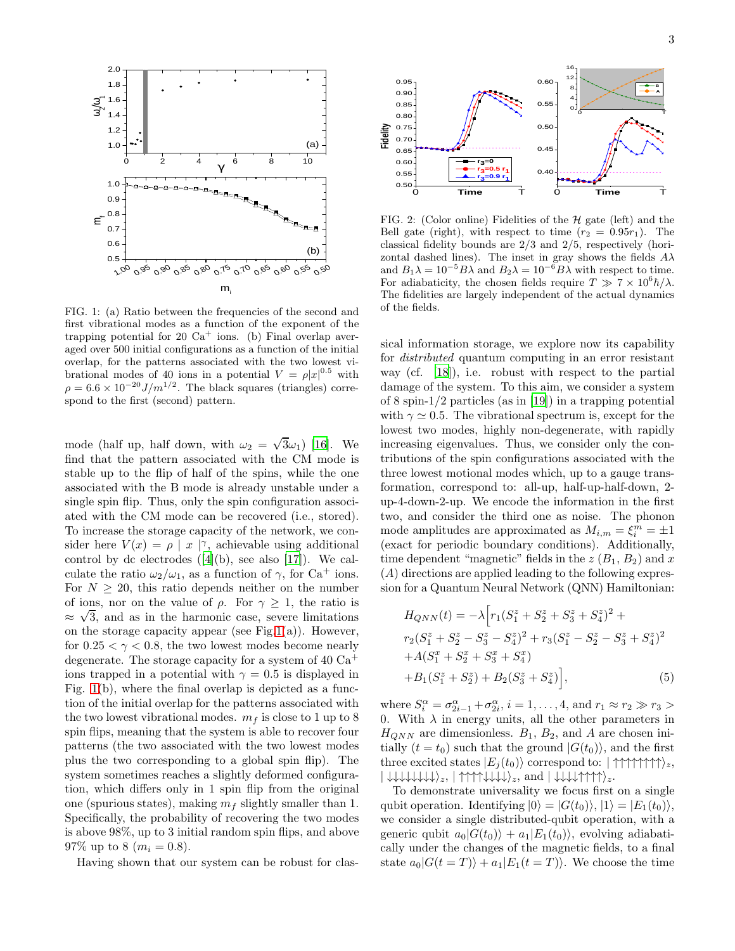

<span id="page-2-0"></span>FIG. 1: (a) Ratio between the frequencies of the second and first vibrational modes as a function of the exponent of the trapping potential for 20  $Ca<sup>+</sup>$  ions. (b) Final overlap averaged over 500 initial configurations as a function of the initial overlap, for the patterns associated with the two lowest vibrational modes of 40 ions in a potential  $V = \rho |x|^{0.5}$  with  $\rho = 6.6 \times 10^{-20} J/m^{1/2}$ . The black squares (triangles) correspond to the first (second) pattern.

mode (half up, half down, with  $\omega_2 = \sqrt{3}\omega_1$ ) [\[16](#page-3-15)]. We find that the pattern associated with the CM mode is stable up to the flip of half of the spins, while the one associated with the B mode is already unstable under a single spin flip. Thus, only the spin configuration associated with the CM mode can be recovered (i.e., stored). To increase the storage capacity of the network, we consider here  $V(x) = \rho \mid x \mid^{\gamma}$ , achievable using additional control by dc electrodes  $([4](b)$  $([4](b)$  $([4](b)$ , see also  $[17]$ ). We calculate the ratio  $\omega_2/\omega_1$ , as a function of  $\gamma$ , for Ca<sup>+</sup> ions. For  $N \geq 20$ , this ratio depends neither on the number of ions, nor on the value of  $\rho$ . For  $\gamma \geq 1$ , the ratio is ≈  $\sqrt{3}$ , and as in the harmonic case, severe limitations on the storage capacity appear (see Fig[.1\(](#page-2-0)a)). However, for  $0.25 < \gamma < 0.8$ , the two lowest modes become nearly degenerate. The storage capacity for a system of 40 Ca<sup>+</sup> ions trapped in a potential with  $\gamma = 0.5$  is displayed in Fig. [1\(](#page-2-0)b), where the final overlap is depicted as a function of the initial overlap for the patterns associated with the two lowest vibrational modes.  $m_f$  is close to 1 up to 8 spin flips, meaning that the system is able to recover four patterns (the two associated with the two lowest modes plus the two corresponding to a global spin flip). The system sometimes reaches a slightly deformed configuration, which differs only in 1 spin flip from the original one (spurious states), making  $m_f$  slightly smaller than 1. Specifically, the probability of recovering the two modes is above 98%, up to 3 initial random spin flips, and above 97\% up to 8  $(m_i = 0.8)$ .

Having shown that our system can be robust for clas-



<span id="page-2-1"></span>FIG. 2: (Color online) Fidelities of the  $H$  gate (left) and the Bell gate (right), with respect to time  $(r_2 = 0.95r_1)$ . The classical fidelity bounds are 2/3 and 2/5, respectively (horizontal dashed lines). The inset in gray shows the fields  $A\lambda$ and  $B_1 \lambda = 10^{-5} B \lambda$  and  $B_2 \lambda = 10^{-6} B \lambda$  with respect to time. For adiabaticity, the chosen fields require  $T \gg 7 \times 10^6 \hbar / \lambda$ . The fidelities are largely independent of the actual dynamics of the fields.

sical information storage, we explore now its capability for distributed quantum computing in an error resistant way (cf. [\[18\]](#page-3-17)), i.e. robust with respect to the partial damage of the system. To this aim, we consider a system of 8 spin-1/2 particles (as in [\[19](#page-3-18)]) in a trapping potential with  $\gamma \simeq 0.5$ . The vibrational spectrum is, except for the lowest two modes, highly non-degenerate, with rapidly increasing eigenvalues. Thus, we consider only the contributions of the spin configurations associated with the three lowest motional modes which, up to a gauge transformation, correspond to: all-up, half-up-half-down, 2 up-4-down-2-up. We encode the information in the first two, and consider the third one as noise. The phonon mode amplitudes are approximated as  $M_{i,m} = \xi_i^m = \pm 1$ (exact for periodic boundary conditions). Additionally, time dependent "magnetic" fields in the  $z(B_1, B_2)$  and x (A) directions are applied leading to the following expression for a Quantum Neural Network (QNN) Hamiltonian:

$$
H_{QNN}(t) = -\lambda \Big[ r_1 (S_1^z + S_2^z + S_3^z + S_4^z)^2 +
$$
  
\n
$$
r_2 (S_1^z + S_2^z - S_3^z - S_4^z)^2 + r_3 (S_1^z - S_2^z - S_3^z + S_4^z)^2
$$
  
\n
$$
+ A(S_1^x + S_2^x + S_3^x + S_4^x)
$$
  
\n
$$
+ B_1 (S_1^z + S_2^z) + B_2 (S_3^z + S_4^z) \Big],
$$
 (5)

where  $S_i^{\alpha} = \sigma_{2i-1}^{\alpha} + \sigma_{2i}^{\alpha}, i = 1, \ldots, 4$ , and  $r_1 \approx r_2 \gg r_3 >$ 0. With  $\lambda$  in energy units, all the other parameters in  $H_{QNN}$  are dimensionless.  $B_1, B_2$ , and A are chosen initially  $(t = t_0)$  such that the ground  $|G(t_0)\rangle$ , and the first three excited states  $|E_i(t_0)\rangle$  correspond to:  $|\uparrow\uparrow\uparrow\uparrow\uparrow\uparrow\rangle_z$ ,  $|\downarrow\downarrow\downarrow\downarrow\downarrow\downarrow\downarrow\rangle_z$ ,  $|\uparrow\uparrow\uparrow\uparrow\downarrow\downarrow\downarrow\rangle_z$ , and  $|\downarrow\downarrow\downarrow\downarrow\uparrow\uparrow\uparrow\uparrow\rangle_z$ .

To demonstrate universality we focus first on a single qubit operation. Identifying  $|0\rangle = |G(t_0)\rangle, |1\rangle = |E_1(t_0)\rangle,$ we consider a single distributed-qubit operation, with a generic qubit  $a_0|G(t_0)\rangle + a_1|E_1(t_0)\rangle$ , evolving adiabatically under the changes of the magnetic fields, to a final state  $a_0|G(t=T)\rangle + a_1|E_1(t=T)\rangle$ . We choose the time